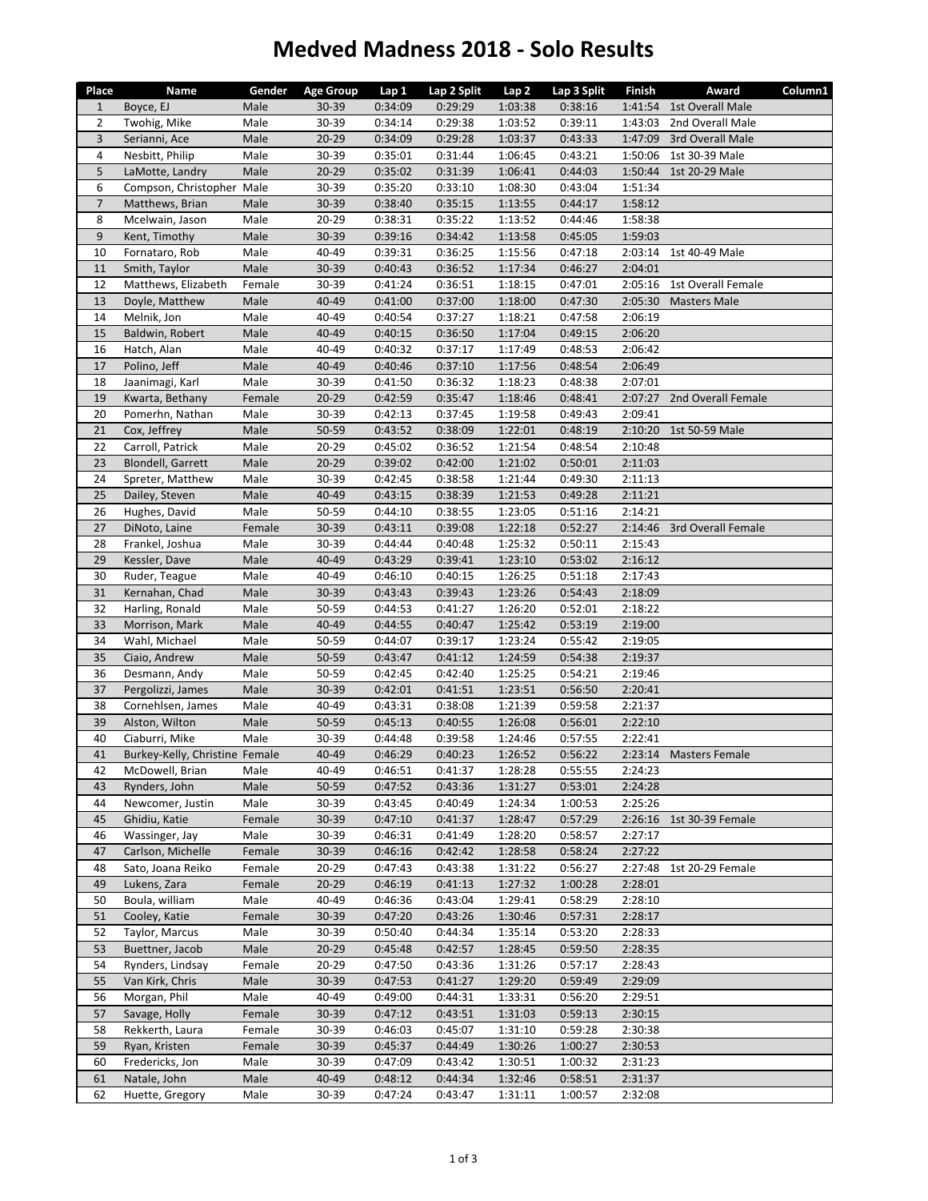## **Medved Madness 2018 ‐ Solo Results**

| Place          | Name                                              | Gender         | <b>Age Group</b> | Lap 1              | Lap 2 Split        | Lap 2              | Lap 3 Split        | Finish             | Award                      | Column1 |
|----------------|---------------------------------------------------|----------------|------------------|--------------------|--------------------|--------------------|--------------------|--------------------|----------------------------|---------|
| $\mathbf{1}$   | Boyce, EJ                                         | Male           | 30-39            | 0:34:09            | 0:29:29            | 1:03:38            | 0:38:16            |                    | 1:41:54 1st Overall Male   |         |
| 2              | Twohig, Mike                                      | Male           | 30-39            | 0:34:14            | 0:29:38            | 1:03:52            | 0:39:11            | 1:43:03            | 2nd Overall Male           |         |
| $\overline{3}$ | Serianni, Ace                                     | Male           | $20 - 29$        | 0:34:09            | 0:29:28            | 1:03:37            | 0:43:33            | 1:47:09            | 3rd Overall Male           |         |
| 4              | Nesbitt, Philip                                   | Male           | 30-39            | 0:35:01            | 0:31:44            | 1:06:45            | 0:43:21            |                    | 1:50:06 1st 30-39 Male     |         |
| 5              | LaMotte, Landry                                   | Male           | $20 - 29$        | 0:35:02            | 0:31:39            | 1:06:41            | 0:44:03            |                    | 1:50:44 1st 20-29 Male     |         |
| 6              | Compson, Christopher Male                         |                | 30-39            | 0:35:20            | 0:33:10            | 1:08:30            | 0:43:04            | 1:51:34            |                            |         |
| $\overline{7}$ | Matthews, Brian                                   | Male           | 30-39            | 0:38:40            | 0:35:15            | 1:13:55            | 0:44:17            | 1:58:12            |                            |         |
| 8              | Mcelwain, Jason                                   | Male           | 20-29            | 0:38:31            | 0:35:22            | 1:13:52            | 0:44:46            | 1:58:38            |                            |         |
| 9              | Kent, Timothy                                     | Male           | 30-39            | 0:39:16            | 0:34:42            |                    | 0:45:05            | 1:59:03            |                            |         |
| 10             | Fornataro, Rob                                    | Male           | 40-49            | 0:39:31            | 0:36:25            | 1:13:58<br>1:15:56 | 0:47:18            |                    | 2:03:14 1st 40-49 Male     |         |
| 11             | Smith, Taylor                                     | Male           | 30-39            | 0:40:43            | 0:36:52            | 1:17:34            | 0:46:27            | 2:04:01            |                            |         |
| 12             | Matthews, Elizabeth                               | Female         | 30-39            | 0:41:24            | 0:36:51            | 1:18:15            | 0:47:01            | 2:05:16            | 1st Overall Female         |         |
| 13             |                                                   |                | 40-49            |                    |                    |                    | 0:47:30            | 2:05:30            | <b>Masters Male</b>        |         |
|                | Doyle, Matthew<br>Melnik, Jon                     | Male           | 40-49            | 0:41:00            | 0:37:00            | 1:18:00            |                    | 2:06:19            |                            |         |
| 14             |                                                   | Male           |                  | 0:40:54            | 0:37:27            | 1:18:21            | 0:47:58            |                    |                            |         |
| 15             | Baldwin, Robert                                   | Male           | 40-49            | 0:40:15            | 0:36:50            | 1:17:04            | 0:49:15            | 2:06:20            |                            |         |
| 16             | Hatch, Alan                                       | Male           | 40-49            | 0:40:32            | 0:37:17            | 1:17:49            | 0:48:53            | 2:06:42            |                            |         |
| 17             | Polino, Jeff                                      | Male           | 40-49            | 0:40:46            | 0:37:10            | 1:17:56            | 0:48:54            | 2:06:49            |                            |         |
| 18             | Jaanimagi, Karl                                   | Male           | 30-39            | 0:41:50            | 0:36:32            | 1:18:23            | 0:48:38            | 2:07:01            |                            |         |
| 19             | Kwarta, Bethany                                   | Female         | $20 - 29$        | 0:42:59            | 0:35:47            | 1:18:46            | 0:48:41            |                    | 2:07:27 2nd Overall Female |         |
| 20             | Pomerhn, Nathan                                   | Male           | 30-39            | 0:42:13            | 0:37:45            | 1:19:58            | 0:49:43            | 2:09:41            |                            |         |
| 21             | Cox, Jeffrey                                      | Male           | 50-59            | 0:43:52            | 0:38:09            | 1:22:01            | 0:48:19            | 2:10:20            | 1st 50-59 Male             |         |
| 22             | Carroll, Patrick                                  | Male           | $20 - 29$        | 0:45:02            | 0:36:52            | 1:21:54            | 0:48:54            | 2:10:48            |                            |         |
| 23             | <b>Blondell, Garrett</b>                          | Male           | $20 - 29$        | 0:39:02            | 0:42:00            | 1:21:02            | 0:50:01            | 2:11:03            |                            |         |
| 24             | Spreter, Matthew                                  | Male           | 30-39            | 0:42:45            | 0:38:58            | 1:21:44            | 0:49:30            | 2:11:13            |                            |         |
| 25             | Dailey, Steven                                    | Male           | 40-49            | 0:43:15            | 0:38:39            | 1:21:53            | 0:49:28            | 2:11:21            |                            |         |
| 26             | Hughes, David                                     | Male           | 50-59            | 0:44:10            | 0:38:55            | 1:23:05            | 0:51:16            | 2:14:21            |                            |         |
| 27             | DiNoto, Laine                                     | Female         | $30 - 39$        | 0:43:11            | 0:39:08            | 1:22:18            | 0:52:27            |                    | 2:14:46 3rd Overall Female |         |
| 28             | Frankel, Joshua                                   | Male           | 30-39            | 0:44:44            | 0:40:48            | 1:25:32            | 0:50:11            | 2:15:43            |                            |         |
| 29             | Kessler, Dave                                     | Male           | 40-49            | 0:43:29            | 0:39:41            | 1:23:10            | 0:53:02            | 2:16:12            |                            |         |
| 30             | Ruder, Teague                                     | Male           | 40-49            | 0:46:10            | 0:40:15            | 1:26:25            | 0:51:18            | 2:17:43            |                            |         |
| 31             | Kernahan, Chad                                    | Male           | 30-39            | 0:43:43            | 0:39:43            | 1:23:26            | 0:54:43            | 2:18:09            |                            |         |
| 32<br>33       | Harling, Ronald                                   | Male<br>Male   | 50-59<br>40-49   | 0:44:53<br>0:44:55 | 0:41:27            | 1:26:20<br>1:25:42 | 0:52:01<br>0:53:19 | 2:18:22<br>2:19:00 |                            |         |
|                | Morrison, Mark                                    |                |                  |                    | 0:40:47            |                    |                    |                    |                            |         |
| 34             | Wahl, Michael                                     | Male           | 50-59            | 0:44:07            | 0:39:17            | 1:23:24            | 0:55:42            | 2:19:05            |                            |         |
| 35<br>36       | Ciaio, Andrew<br>Desmann, Andy                    | Male           | 50-59<br>50-59   | 0:43:47<br>0:42:45 | 0:41:12<br>0:42:40 | 1:24:59<br>1:25:25 | 0:54:38<br>0:54:21 | 2:19:37<br>2:19:46 |                            |         |
| 37             |                                                   | Male           | 30-39            |                    |                    |                    |                    |                    |                            |         |
| 38             | Pergolizzi, James<br>Cornehlsen, James            | Male<br>Male   | 40-49            | 0:42:01<br>0:43:31 | 0:41:51            | 1:23:51            | 0:56:50<br>0:59:58 | 2:20:41<br>2:21:37 |                            |         |
| 39             | Alston, Wilton                                    | Male           | 50-59            | 0:45:13            | 0:38:08<br>0:40:55 | 1:21:39<br>1:26:08 | 0:56:01            | 2:22:10            |                            |         |
| 40             | Ciaburri, Mike                                    | Male           | 30-39            | 0:44:48            |                    |                    |                    | 2:22:41            |                            |         |
| 41             |                                                   |                | 40-49            | 0:46:29            | 0:39:58<br>0:40:23 | 1:24:46            | 0:57:55            |                    |                            |         |
|                | Burkey-Kelly, Christine Female<br>McDowell, Brian |                | 40-49            |                    |                    | 1:26:52            | 0:56:22            |                    | 2:23:14 Masters Female     |         |
| 42             |                                                   | Male           |                  | 0:46:51            | 0:41:37            | 1:28:28            | 0:55:55            | 2:24:23            |                            |         |
| 43             | Rynders, John<br>Newcomer, Justin                 | Male<br>Male   | 50-59<br>30-39   | 0:47:52<br>0:43:45 | 0:43:36<br>0:40:49 | 1:31:27<br>1:24:34 | 0:53:01<br>1:00:53 | 2:24:28<br>2:25:26 |                            |         |
| 44<br>45       | Ghidiu, Katie                                     | Female         | 30-39            | 0:47:10            | 0:41:37            | 1:28:47            | 0:57:29            |                    | 2:26:16 1st 30-39 Female   |         |
| 46             |                                                   | Male           | 30-39            | 0:46:31            | 0:41:49            | 1:28:20            | 0:58:57            | 2:27:17            |                            |         |
| 47             | Wassinger, Jay<br>Carlson, Michelle               | Female         | 30-39            | 0:46:16            | 0:42:42            | 1:28:58            | 0:58:24            | 2:27:22            |                            |         |
| 48             | Sato, Joana Reiko                                 | Female         | $20 - 29$        | 0:47:43            | 0:43:38            | 1:31:22            | 0:56:27            | 2:27:48            | 1st 20-29 Female           |         |
| 49             | Lukens, Zara                                      | Female         | $20 - 29$        | 0:46:19            | 0:41:13            | 1:27:32            | 1:00:28            | 2:28:01            |                            |         |
| 50             | Boula, william                                    | Male           | 40-49            | 0:46:36            | 0:43:04            | 1:29:41            | 0:58:29            | 2:28:10            |                            |         |
|                | Cooley, Katie                                     |                |                  |                    |                    | 1:30:46            |                    |                    |                            |         |
| 51<br>52       | Taylor, Marcus                                    | Female<br>Male | 30-39<br>30-39   | 0:47:20<br>0:50:40 | 0:43:26<br>0:44:34 | 1:35:14            | 0:57:31<br>0:53:20 | 2:28:17<br>2:28:33 |                            |         |
| 53             |                                                   | Male           | $20 - 29$        | 0:45:48            | 0:42:57            |                    |                    |                    |                            |         |
| 54             | Buettner, Jacob<br>Rynders, Lindsay               | Female         | $20 - 29$        | 0:47:50            | 0:43:36            | 1:28:45<br>1:31:26 | 0:59:50<br>0:57:17 | 2:28:35<br>2:28:43 |                            |         |
| 55             | Van Kirk, Chris                                   | Male           | 30-39            | 0:47:53            | 0:41:27            | 1:29:20            | 0:59:49            | 2:29:09            |                            |         |
| 56             | Morgan, Phil                                      | Male           | 40-49            | 0:49:00            | 0:44:31            | 1:33:31            | 0:56:20            | 2:29:51            |                            |         |
| 57             | Savage, Holly                                     | Female         | 30-39            | 0:47:12            | 0:43:51            | 1:31:03            | 0:59:13            | 2:30:15            |                            |         |
| 58             | Rekkerth, Laura                                   | Female         | 30-39            | 0:46:03            | 0:45:07            | 1:31:10            | 0:59:28            | 2:30:38            |                            |         |
|                |                                                   |                |                  |                    |                    |                    |                    |                    |                            |         |
| 59<br>60       | Ryan, Kristen<br>Fredericks, Jon                  | Female<br>Male | 30-39<br>30-39   | 0:45:37<br>0:47:09 | 0:44:49<br>0:43:42 | 1:30:26<br>1:30:51 | 1:00:27<br>1:00:32 | 2:30:53<br>2:31:23 |                            |         |
| 61             | Natale, John                                      | Male           | 40-49            | 0:48:12            | 0:44:34            | 1:32:46            | 0:58:51            | 2:31:37            |                            |         |
| 62             | Huette, Gregory                                   | Male           | 30-39            | 0:47:24            | 0:43:47            | 1:31:11            | 1:00:57            | 2:32:08            |                            |         |
|                |                                                   |                |                  |                    |                    |                    |                    |                    |                            |         |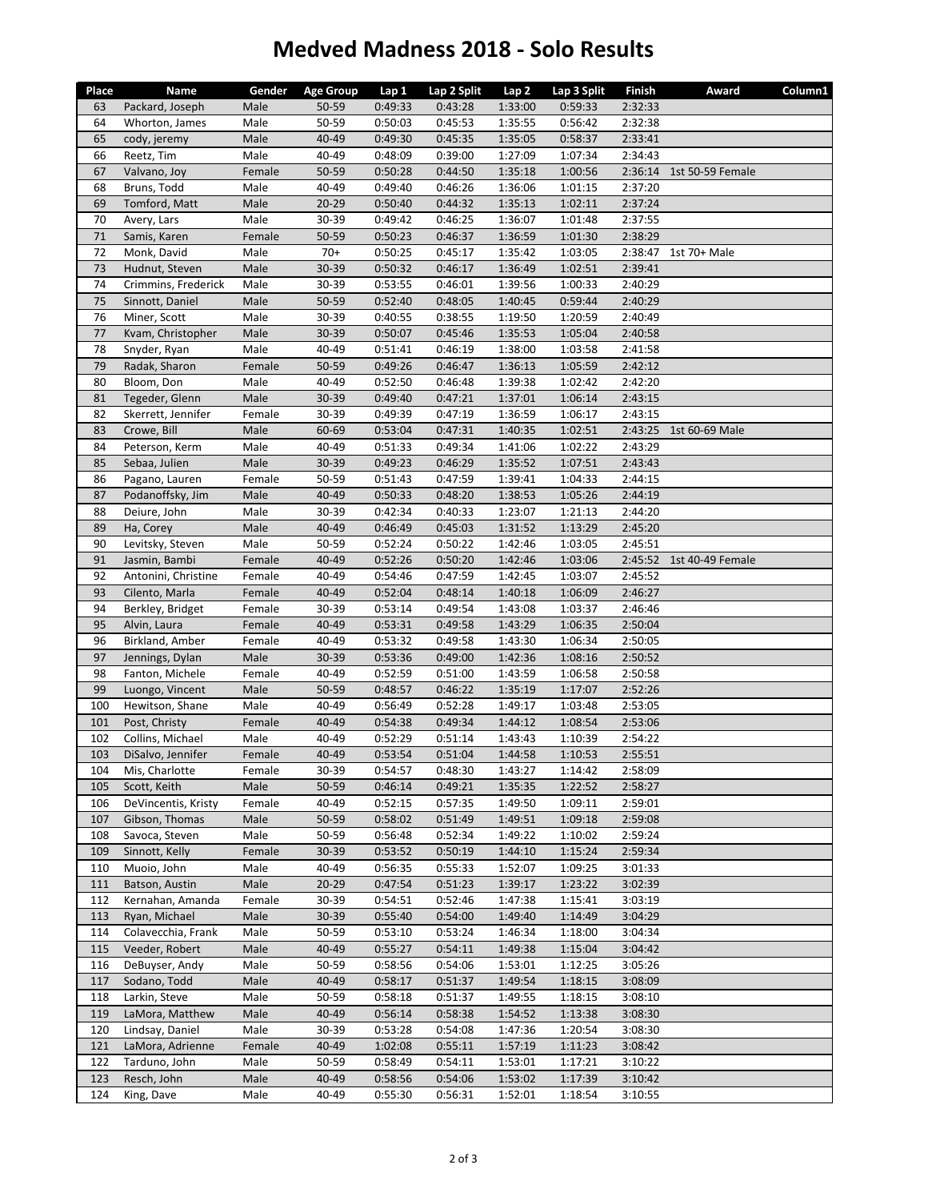## **Medved Madness 2018 ‐ Solo Results**

| Place | Name                | Gender | <b>Age Group</b> | Lap 1   | Lap 2 Split | Lap <sub>2</sub> | Lap 3 Split | Finish  | Award            | Column1 |
|-------|---------------------|--------|------------------|---------|-------------|------------------|-------------|---------|------------------|---------|
| 63    | Packard, Joseph     | Male   | 50-59            | 0:49:33 | 0:43:28     | 1:33:00          | 0:59:33     | 2:32:33 |                  |         |
| 64    | Whorton, James      | Male   | 50-59            | 0:50:03 | 0:45:53     | 1:35:55          | 0:56:42     | 2:32:38 |                  |         |
| 65    | cody, jeremy        | Male   | 40-49            | 0:49:30 | 0:45:35     | 1:35:05          | 0:58:37     | 2:33:41 |                  |         |
| 66    | Reetz, Tim          | Male   | 40-49            | 0:48:09 | 0:39:00     | 1:27:09          | 1:07:34     | 2:34:43 |                  |         |
| 67    | Valvano, Joy        | Female | 50-59            | 0:50:28 | 0:44:50     | 1:35:18          | 1:00:56     | 2:36:14 | 1st 50-59 Female |         |
| 68    | Bruns, Todd         | Male   | 40-49            | 0:49:40 | 0:46:26     | 1:36:06          | 1:01:15     | 2:37:20 |                  |         |
| 69    |                     | Male   | $20 - 29$        | 0:50:40 | 0:44:32     | 1:35:13          | 1:02:11     | 2:37:24 |                  |         |
|       | Tomford, Matt       |        | 30-39            |         |             |                  |             |         |                  |         |
| 70    | Avery, Lars         | Male   |                  | 0:49:42 | 0:46:25     | 1:36:07          | 1:01:48     | 2:37:55 |                  |         |
| 71    | Samis, Karen        | Female | 50-59            | 0:50:23 | 0:46:37     | 1:36:59          | 1:01:30     | 2:38:29 |                  |         |
| 72    | Monk, David         | Male   | $70+$            | 0:50:25 | 0:45:17     | 1:35:42          | 1:03:05     | 2:38:47 | 1st 70+ Male     |         |
| 73    | Hudnut, Steven      | Male   | 30-39            | 0:50:32 | 0:46:17     | 1:36:49          | 1:02:51     | 2:39:41 |                  |         |
| 74    | Crimmins, Frederick | Male   | 30-39            | 0:53:55 | 0:46:01     | 1:39:56          | 1:00:33     | 2:40:29 |                  |         |
| 75    | Sinnott, Daniel     | Male   | 50-59            | 0:52:40 | 0:48:05     | 1:40:45          | 0:59:44     | 2:40:29 |                  |         |
| 76    | Miner, Scott        | Male   | 30-39            | 0:40:55 | 0:38:55     | 1:19:50          | 1:20:59     | 2:40:49 |                  |         |
| 77    | Kvam, Christopher   | Male   | 30-39            | 0:50:07 | 0:45:46     | 1:35:53          | 1:05:04     | 2:40:58 |                  |         |
| 78    | Snyder, Ryan        | Male   | 40-49            | 0:51:41 | 0:46:19     | 1:38:00          | 1:03:58     | 2:41:58 |                  |         |
| 79    | Radak, Sharon       | Female | 50-59            | 0:49:26 | 0:46:47     | 1:36:13          | 1:05:59     | 2:42:12 |                  |         |
| 80    | Bloom, Don          | Male   | 40-49            | 0:52:50 | 0:46:48     | 1:39:38          | 1:02:42     | 2:42:20 |                  |         |
| 81    | Tegeder, Glenn      | Male   | 30-39            | 0:49:40 | 0:47:21     | 1:37:01          | 1:06:14     | 2:43:15 |                  |         |
| 82    | Skerrett, Jennifer  | Female | 30-39            | 0:49:39 | 0:47:19     | 1:36:59          | 1:06:17     | 2:43:15 |                  |         |
| 83    | Crowe, Bill         | Male   | 60-69            | 0:53:04 | 0:47:31     | 1:40:35          | 1:02:51     | 2:43:25 | 1st 60-69 Male   |         |
| 84    | Peterson, Kerm      | Male   | 40-49            | 0:51:33 | 0:49:34     | 1:41:06          | 1:02:22     | 2:43:29 |                  |         |
| 85    | Sebaa, Julien       | Male   | 30-39            | 0:49:23 | 0:46:29     | 1:35:52          | 1:07:51     | 2:43:43 |                  |         |
| 86    | Pagano, Lauren      | Female | 50-59            | 0:51:43 | 0:47:59     | 1:39:41          | 1:04:33     | 2:44:15 |                  |         |
| 87    | Podanoffsky, Jim    | Male   | 40-49            | 0:50:33 | 0:48:20     | 1:38:53          | 1:05:26     | 2:44:19 |                  |         |
| 88    | Deiure, John        | Male   | 30-39            | 0:42:34 | 0:40:33     | 1:23:07          | 1:21:13     | 2:44:20 |                  |         |
| 89    | Ha, Corey           | Male   | 40-49            | 0:46:49 | 0:45:03     | 1:31:52          | 1:13:29     | 2:45:20 |                  |         |
| 90    | Levitsky, Steven    | Male   | 50-59            | 0:52:24 | 0:50:22     | 1:42:46          | 1:03:05     | 2:45:51 |                  |         |
| 91    | Jasmin, Bambi       | Female | 40-49            | 0:52:26 | 0:50:20     | 1:42:46          | 1:03:06     | 2:45:52 | 1st 40-49 Female |         |
| 92    | Antonini, Christine | Female | 40-49            | 0:54:46 | 0:47:59     | 1:42:45          | 1:03:07     | 2:45:52 |                  |         |
| 93    | Cilento, Marla      | Female | 40-49            | 0:52:04 | 0:48:14     | 1:40:18          | 1:06:09     | 2:46:27 |                  |         |
| 94    | Berkley, Bridget    | Female | 30-39            | 0:53:14 | 0:49:54     | 1:43:08          | 1:03:37     | 2:46:46 |                  |         |
| 95    | Alvin, Laura        | Female | 40-49            | 0:53:31 | 0:49:58     | 1:43:29          | 1:06:35     | 2:50:04 |                  |         |
| 96    | Birkland, Amber     | Female | 40-49            | 0:53:32 | 0:49:58     | 1:43:30          | 1:06:34     | 2:50:05 |                  |         |
| 97    | Jennings, Dylan     | Male   | 30-39            | 0:53:36 | 0:49:00     | 1:42:36          | 1:08:16     | 2:50:52 |                  |         |
| 98    | Fanton, Michele     | Female | 40-49            | 0:52:59 | 0:51:00     | 1:43:59          | 1:06:58     | 2:50:58 |                  |         |
| 99    | Luongo, Vincent     | Male   | 50-59            | 0:48:57 | 0:46:22     | 1:35:19          | 1:17:07     | 2:52:26 |                  |         |
| 100   |                     | Male   | 40-49            | 0:56:49 |             | 1:49:17          |             | 2:53:05 |                  |         |
|       | Hewitson, Shane     |        | 40-49            |         | 0:52:28     |                  | 1:03:48     |         |                  |         |
| 101   | Post, Christy       | Female |                  | 0:54:38 | 0:49:34     | 1:44:12          | 1:08:54     | 2:53:06 |                  |         |
| 102   | Collins, Michael    | Male   | 40-49            | 0:52:29 | 0:51:14     | 1:43:43          | 1:10:39     | 2:54:22 |                  |         |
| 103   | DiSalvo, Jennifer   | Female | 40-49            | 0:53:54 | 0:51:04     | 1:44:58          | 1:10:53     | 2:55:51 |                  |         |
| 104   | Mis, Charlotte      | Female | 30-39            | 0:54:57 | 0:48:30     | 1:43:27          | 1:14:42     | 2:58:09 |                  |         |
| 105   | Scott, Keith        | Male   | 50-59            | 0:46:14 | 0:49:21     | 1:35:35          | 1:22:52     | 2:58:27 |                  |         |
| 106   | DeVincentis, Kristy | Female | 40-49            | 0:52:15 | 0:57:35     | 1:49:50          | 1:09:11     | 2:59:01 |                  |         |
| 107   | Gibson, Thomas      | Male   | 50-59            | 0:58:02 | 0:51:49     | 1:49:51          | 1:09:18     | 2:59:08 |                  |         |
| 108   | Savoca, Steven      | Male   | 50-59            | 0:56:48 | 0:52:34     | 1:49:22          | 1:10:02     | 2:59:24 |                  |         |
| 109   | Sinnott, Kelly      | Female | 30-39            | 0:53:52 | 0:50:19     | 1:44:10          | 1:15:24     | 2:59:34 |                  |         |
| 110   | Muoio, John         | Male   | 40-49            | 0:56:35 | 0:55:33     | 1:52:07          | 1:09:25     | 3:01:33 |                  |         |
| 111   | Batson, Austin      | Male   | $20 - 29$        | 0:47:54 | 0:51:23     | 1:39:17          | 1:23:22     | 3:02:39 |                  |         |
| 112   | Kernahan, Amanda    | Female | 30-39            | 0:54:51 | 0:52:46     | 1:47:38          | 1:15:41     | 3:03:19 |                  |         |
| 113   | Ryan, Michael       | Male   | 30-39            | 0:55:40 | 0:54:00     | 1:49:40          | 1:14:49     | 3:04:29 |                  |         |
| 114   | Colavecchia, Frank  | Male   | 50-59            | 0:53:10 | 0:53:24     | 1:46:34          | 1:18:00     | 3:04:34 |                  |         |
| 115   | Veeder, Robert      | Male   | 40-49            | 0:55:27 | 0:54:11     | 1:49:38          | 1:15:04     | 3:04:42 |                  |         |
| 116   | DeBuyser, Andy      | Male   | 50-59            | 0:58:56 | 0:54:06     | 1:53:01          | 1:12:25     | 3:05:26 |                  |         |
| 117   | Sodano, Todd        | Male   | 40-49            | 0:58:17 | 0:51:37     | 1:49:54          | 1:18:15     | 3:08:09 |                  |         |
| 118   | Larkin, Steve       | Male   | 50-59            | 0:58:18 | 0:51:37     | 1:49:55          | 1:18:15     | 3:08:10 |                  |         |
| 119   | LaMora, Matthew     | Male   | 40-49            | 0:56:14 | 0:58:38     | 1:54:52          | 1:13:38     | 3:08:30 |                  |         |
| 120   | Lindsay, Daniel     | Male   | 30-39            | 0:53:28 | 0:54:08     | 1:47:36          | 1:20:54     | 3:08:30 |                  |         |
| 121   | LaMora, Adrienne    | Female | 40-49            | 1:02:08 | 0:55:11     | 1:57:19          | 1:11:23     | 3:08:42 |                  |         |
| 122   | Tarduno, John       | Male   | 50-59            | 0:58:49 | 0:54:11     | 1:53:01          | 1:17:21     | 3:10:22 |                  |         |
| 123   | Resch, John         | Male   | 40-49            | 0:58:56 | 0:54:06     | 1:53:02          | 1:17:39     | 3:10:42 |                  |         |
| 124   | King, Dave          | Male   | 40-49            | 0:55:30 | 0:56:31     | 1:52:01          | 1:18:54     | 3:10:55 |                  |         |
|       |                     |        |                  |         |             |                  |             |         |                  |         |